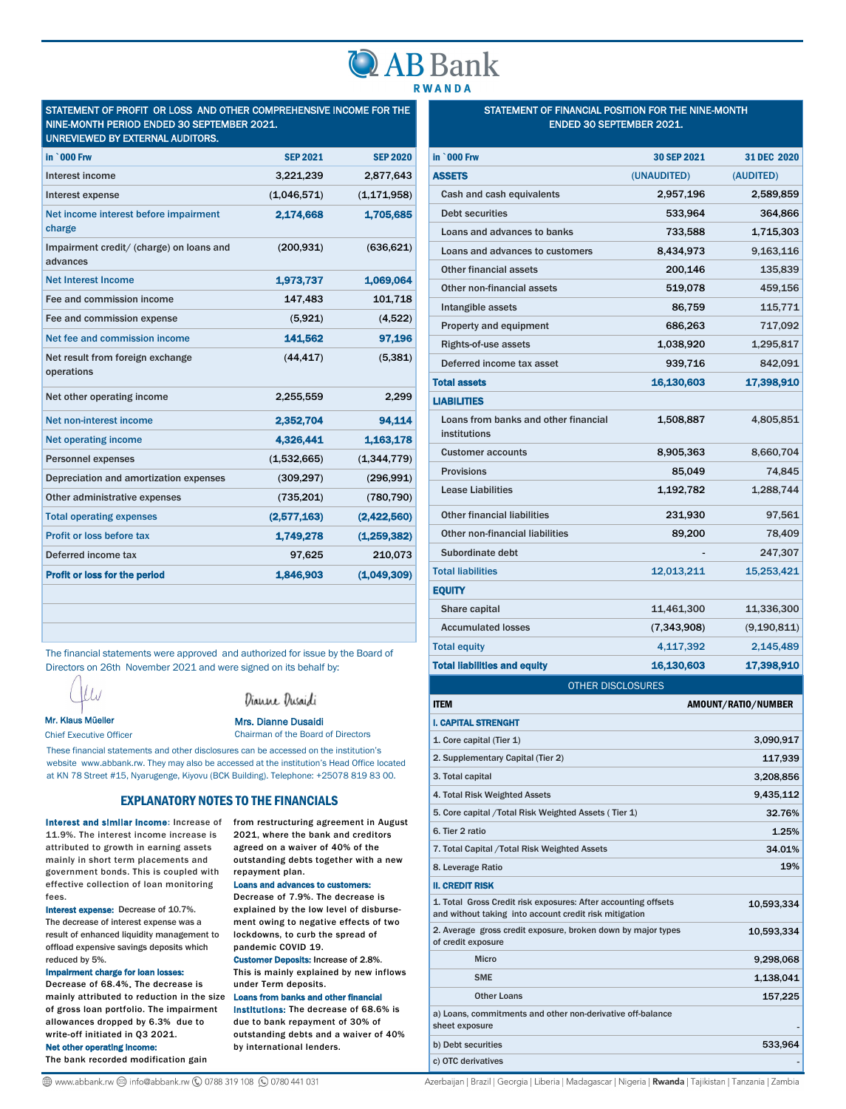# **AB Bank RWANDA**

## STATEMENT OF PROFIT OR LOSS AND OTHER COMPREHENSIVE INCOME FOR THE NINE-MONTH PERIOD ENDED 30 SEPTEMBER 2021.

| UNREVIEWED BY EXTERNAL AUDITORS.                     |                 |                 |
|------------------------------------------------------|-----------------|-----------------|
| in `000 Frw                                          | <b>SEP 2021</b> | <b>SEP 2020</b> |
| Interest income                                      | 3,221,239       | 2,877,643       |
| Interest expense                                     | (1,046,571)     | (1, 171, 958)   |
| Net income interest before impairment<br>charge      | 2,174,668       | 1,705,685       |
| Impairment credit/ (charge) on loans and<br>advances | (200.931)       | (636, 621)      |
| <b>Net Interest Income</b>                           | 1,973,737       | 1,069,064       |
| Fee and commission income                            | 147,483         | 101,718         |
| Fee and commission expense                           | (5,921)         | (4,522)         |
| Net fee and commission income                        | 141,562         | 97,196          |
| Net result from foreign exchange<br>operations       | (44, 417)       | (5, 381)        |
| Net other operating income                           | 2,255,559       | 2,299           |
| Net non-interest income                              | 2,352,704       | 94,114          |
| <b>Net operating income</b>                          | 4,326,441       | 1,163,178       |
| <b>Personnel expenses</b>                            | (1,532,665)     | (1, 344, 779)   |
| Depreciation and amortization expenses               | (309, 297)      | (296, 991)      |
| Other administrative expenses                        | (735, 201)      | (780, 790)      |
| <b>Total operating expenses</b>                      | (2,577,163)     | (2,422,560)     |
| Profit or loss before tax                            | 1,749,278       | (1, 259, 382)   |
| Deferred income tax                                  | 97,625          | 210,073         |
| Profit or loss for the period                        | 1,846,903       | (1,049,309)     |
|                                                      |                 |                 |

The financial statements were approved and authorized for issue by the Board of Directors on 26th November 2021 and were signed on its behalf by:

t Lu

Dianne Dusaidi

Mr. Klaus Müeller

Chief Executive Officer

Mrs. Dianne Dusaidi

Chairman of the Board of Directors

These financial statements and other disclosures can be accessed on the institution's website www.abbank.rw. They may also be accessed at the institution's Head Office located at KN 78 Street #15, Nyarugenge, Kiyovu (BCK Building). Telephone: +25078 819 83 00.

### EXPLANATORY NOTES TO THE FINANCIALS

11.9%. The interest income increase is attributed to growth in earning assets mainly in short term placements and government bonds. This is coupled with effective collection of loan monitoring fees.

Interest expense: Decrease of 10.7%. The decrease of interest expense was a result of enhanced liquidity management to offload expensive savings deposits which reduced by 5%.

Impairment charge for loan losses:

Decrease of 68.4%. The decrease is mainly attributed to reduction in the size of gross loan portfolio. The impairment allowances dropped by 6.3% due to write-off initiated in Q3 2021. Net other operating income:

The bank recorded modification gain

#### Interest and similar income: Increase of from restructuring agreement in August 2021, where the bank and creditors agreed on a waiver of 40% of the outstanding debts together with a new repayment plan.

Loans and advances to customers: Decrease of 7.9%. The decrease is explained by the low level of disbursement owing to negative effects of two lockdowns, to curb the spread of pandemic COVID 19.

Customer Deposits: Increase of 2.8%. This is mainly explained by new inflows under Term deposits.

Loans from banks and other financial

institutions: The decrease of 68.6% is due to bank repayment of 30% of outstanding debts and a waiver of 40% by international lenders.

#### STATEMENT OF FINANCIAL POSITION FOR THE NINE-MONTH ENDED 30 SEPTEMBER 2021.

| <b>OTHER DISCLOSURES</b> |               |
|--------------------------|---------------|
|                          |               |
|                          | 17,398,910    |
| 4,117,392                | 2,145,489     |
| (7, 343, 908)            | (9, 190, 811) |
| 11,461,300               | 11,336,300    |
|                          |               |
| 12,013,211               | 15,253,421    |
|                          | 247,307       |
| 89,200                   | 78,409        |
| 231,930                  | 97,561        |
| 1,192,782                | 1,288,744     |
| 85,049                   | 74,845        |
| 8,905,363                | 8,660,704     |
| 1,508,887                | 4,805,851     |
|                          |               |
| 16,130,603               | 17,398,910    |
| 939,716                  | 842,091       |
| 1,038,920                | 1,295,817     |
| 686,263                  | 717,092       |
| 86,759                   | 115,771       |
| 519,078                  | 459,156       |
| 200,146                  | 135,839       |
| 8,434,973                | 9,163,116     |
| 733,588                  | 1,715,303     |
| 533,964                  | 364,866       |
| 2,957,196                | 2,589,859     |
| (UNAUDITED)              | (AUDITED)     |
| 30 SEP 2021              | 31 DEC 2020   |
|                          | 16,130,603    |

| <b>I. CAPITAL STRENGHT</b>                                                                                               |            |
|--------------------------------------------------------------------------------------------------------------------------|------------|
| 1. Core capital (Tier 1)                                                                                                 | 3,090,917  |
| 2. Supplementary Capital (Tier 2)                                                                                        | 117,939    |
| 3. Total capital                                                                                                         | 3,208,856  |
| 4. Total Risk Weighted Assets                                                                                            | 9,435,112  |
| 5. Core capital / Total Risk Weighted Assets (Tier 1)                                                                    | 32.76%     |
| 6. Tier 2 ratio                                                                                                          | 1.25%      |
| 7. Total Capital / Total Risk Weighted Assets                                                                            | 34.01%     |
| 8. Leverage Ratio                                                                                                        | 19%        |
| <b>II. CREDIT RISK</b>                                                                                                   |            |
| 1. Total Gross Credit risk exposures: After accounting offsets<br>and without taking into account credit risk mitigation | 10.593.334 |
| 2. Average gross credit exposure, broken down by major types<br>of credit exposure                                       | 10,593,334 |
| <b>Micro</b>                                                                                                             | 9,298,068  |
| <b>SME</b>                                                                                                               | 1,138,041  |
| <b>Other Loans</b>                                                                                                       | 157,225    |
| a) Loans, commitments and other non-derivative off-balance<br>sheet exposure                                             |            |
| b) Debt securities                                                                                                       | 533,964    |
| c) OTC derivatives                                                                                                       |            |

**A** www.abbank.rw <sup>2</sup> info@abbank.rw **4** 0788 319 108 (9 0780 441 031

Azerbaijan | Brazil | Georgia | Liberia | Madagascar | Nigeria | Rwanda | Tajikistan | Tanzania | Zambia